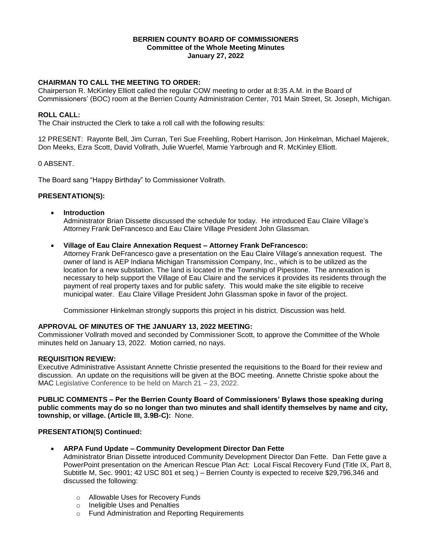#### **BERRIEN COUNTY BOARD OF COMMISSIONERS Committee of the Whole Meeting Minutes January 27, 2022**

# **CHAIRMAN TO CALL THE MEETING TO ORDER:**

Chairperson R. McKinley Elliott called the regular COW meeting to order at 8:35 A.M. in the Board of Commissioners' (BOC) room at the Berrien County Administration Center, 701 Main Street, St. Joseph, Michigan.

### **ROLL CALL:**

The Chair instructed the Clerk to take a roll call with the following results:

12 PRESENT: Rayonte Bell, Jim Curran, Teri Sue Freehling, Robert Harrison, Jon Hinkelman, Michael Majerek, Don Meeks, Ezra Scott, David Vollrath, Julie Wuerfel, Mamie Yarbrough and R. McKinley Elliott.

#### 0 ABSENT.

The Board sang "Happy Birthday" to Commissioner Vollrath.

#### **PRESENTATION(S):**

**Introduction**

Administrator Brian Dissette discussed the schedule for today. He introduced Eau Claire Village's Attorney Frank DeFrancesco and Eau Claire Village President John Glassman.

**Village of Eau Claire Annexation Request – Attorney Frank DeFrancesco:**

Attorney Frank DeFrancesco gave a presentation on the Eau Claire Village's annexation request. The owner of land is AEP Indiana Michigan Transmission Company, Inc., which is to be utilized as the location for a new substation. The land is located in the Township of Pipestone. The annexation is necessary to help support the Village of Eau Claire and the services it provides its residents through the payment of real property taxes and for public safety. This would make the site eligible to receive municipal water. Eau Claire Village President John Glassman spoke in favor of the project.

Commissioner Hinkelman strongly supports this project in his district. Discussion was held.

#### **APPROVAL OF MINUTES OF THE JANUARY 13, 2022 MEETING:**

Commissioner Vollrath moved and seconded by Commissioner Scott, to approve the Committee of the Whole minutes held on January 13, 2022. Motion carried, no nays.

#### **REQUISITION REVIEW:**

Executive Administrative Assistant Annette Christie presented the requisitions to the Board for their review and discussion. An update on the requisitions will be given at the BOC meeting. Annette Christie spoke about the MAC Legislative Conference to be held on March 21 – 23, 2022.

**PUBLIC COMMENTS – Per the Berrien County Board of Commissioners' Bylaws those speaking during public comments may do so no longer than two minutes and shall identify themselves by name and city, township, or village. (Article III, 3.9B-C):** None.

#### **PRESENTATION(S) Continued:**

**ARPA Fund Update – Community Development Director Dan Fette**

Administrator Brian Dissette introduced Community Development Director Dan Fette.Dan Fette gave a PowerPoint presentation on the American Rescue Plan Act: Local Fiscal Recovery Fund (Title IX, Part 8, Subtitle M, Sec. 9901; 42 USC 801 et seq.) – Berrien County is expected to receive \$29,796,346 and discussed the following:

- o Allowable Uses for Recovery Funds
- o Ineligible Uses and Penalties
- o Fund Administration and Reporting Requirements